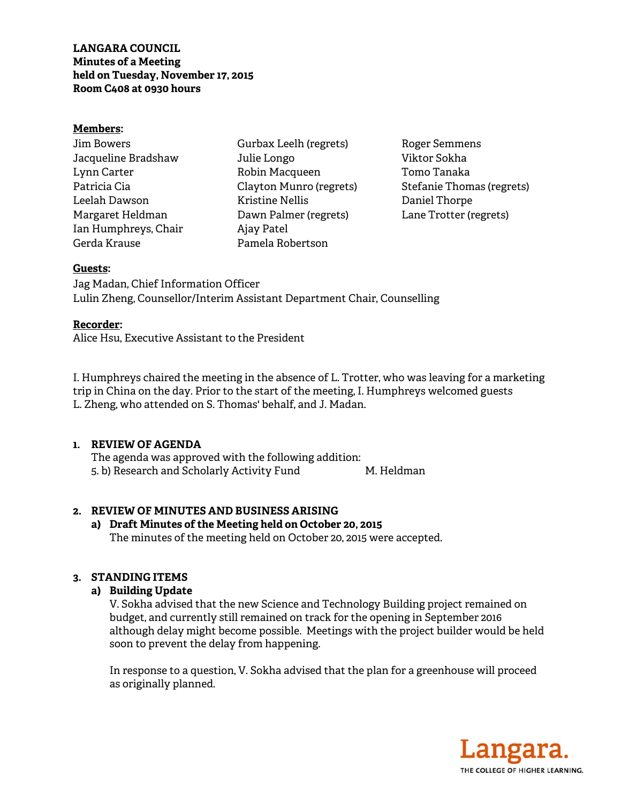# **LANGARA COUNCIL Minutes of a Meeting held on Tuesday, November 17, 2015 Room C408 at 0930 hours**

#### **Members:**

| Jim Bowers           |  |
|----------------------|--|
| Jacqueline Bradshaw  |  |
| Lynn Carter          |  |
| Patricia Cia         |  |
| Leelah Dawson        |  |
| Margaret Heldman     |  |
| Ian Humphreys, Chair |  |
| Gerda Krause         |  |

Gurbax Leelh (regrets) Julie Longo Robin Macqueen Clayton Munro (regrets) Kristine Nellis Dawn Palmer (regrets) Ajay Patel Pamela Robertson

Roger Semmens Viktor Sokha Tomo Tanaka Stefanie Thomas (regrets) Daniel Thorpe Lane Trotter (regrets)

### **Guests:**

Jag Madan, Chief Information Officer Lulin Zheng, Counsellor/Interim Assistant Department Chair, Counselling

#### **Recorder:**

Alice Hsu, Executive Assistant to the President

I. Humphreys chaired the meeting in the absence of L. Trotter, who was leaving for a marketing trip in China on the day. Prior to the start of the meeting, I. Humphreys welcomed guests L. Zheng, who attended on S. Thomas' behalf, and J. Madan.

# **1. REVIEW OF AGENDA**

 The agenda was approved with the following addition: 5. b) Research and Scholarly Activity Fund M. Heldman

# **2. REVIEW OF MINUTES AND BUSINESS ARISING**

# **a) Draft Minutes of the Meeting held on October 20, 2015**  The minutes of the meeting held on October 20, 2015 were accepted.

# **3. STANDING ITEMS**

# **a) Building Update**

V. Sokha advised that the new Science and Technology Building project remained on budget, and currently still remained on track for the opening in September 2016 although delay might become possible. Meetings with the project builder would be held soon to prevent the delay from happening.

In response to a question, V. Sokha advised that the plan for a greenhouse will proceed as originally planned.

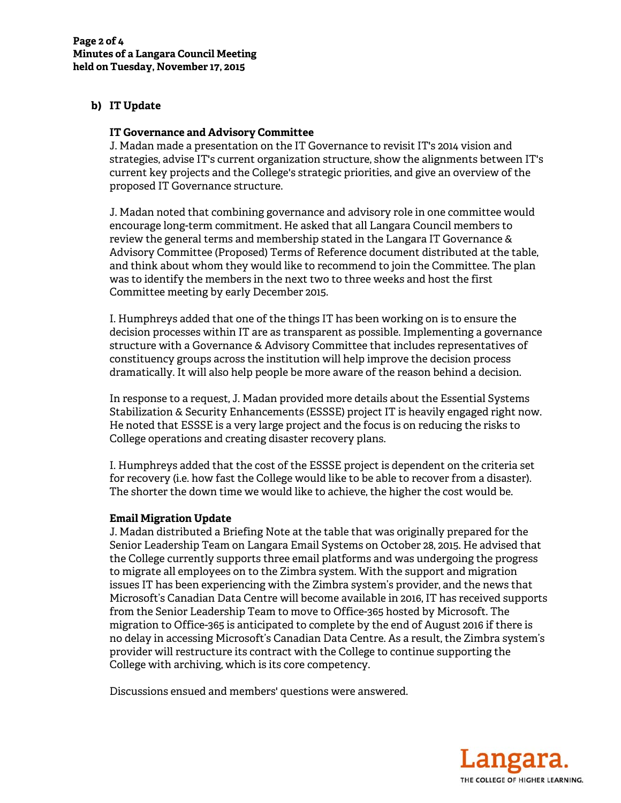# **b) IT Update**

#### **IT Governance and Advisory Committee**

J. Madan made a presentation on the IT Governance to revisit IT's 2014 vision and strategies, advise IT's current organization structure, show the alignments between IT's current key projects and the College's strategic priorities, and give an overview of the proposed IT Governance structure.

J. Madan noted that combining governance and advisory role in one committee would encourage long-term commitment. He asked that all Langara Council members to review the general terms and membership stated in the Langara IT Governance  $\&$ Advisory Committee (Proposed) Terms of Reference document distributed at the table, and think about whom they would like to recommend to join the Committee. The plan was to identify the members in the next two to three weeks and host the first Committee meeting by early December 2015.

I. Humphreys added that one of the things IT has been working on is to ensure the decision processes within IT are as transparent as possible. Implementing a governance structure with a Governance & Advisory Committee that includes representatives of constituency groups across the institution will help improve the decision process dramatically. It will also help people be more aware of the reason behind a decision.

In response to a request, J. Madan provided more details about the Essential Systems Stabilization & Security Enhancements (ESSSE) project IT is heavily engaged right now. He noted that ESSSE is a very large project and the focus is on reducing the risks to College operations and creating disaster recovery plans.

I. Humphreys added that the cost of the ESSSE project is dependent on the criteria set for recovery (i.e. how fast the College would like to be able to recover from a disaster). The shorter the down time we would like to achieve, the higher the cost would be.

#### **Email Migration Update**

J. Madan distributed a Briefing Note at the table that was originally prepared for the Senior Leadership Team on Langara Email Systems on October 28, 2015. He advised that the College currently supports three email platforms and was undergoing the progress to migrate all employees on to the Zimbra system. With the support and migration issues IT has been experiencing with the Zimbra system's provider, and the news that Microsoft's Canadian Data Centre will become available in 2016, IT has received supports from the Senior Leadership Team to move to Office-365 hosted by Microsoft. The migration to Office-365 is anticipated to complete by the end of August 2016 if there is no delay in accessing Microsoft's Canadian Data Centre. As a result, the Zimbra system's provider will restructure its contract with the College to continue supporting the College with archiving, which is its core competency.

Discussions ensued and members' questions were answered.

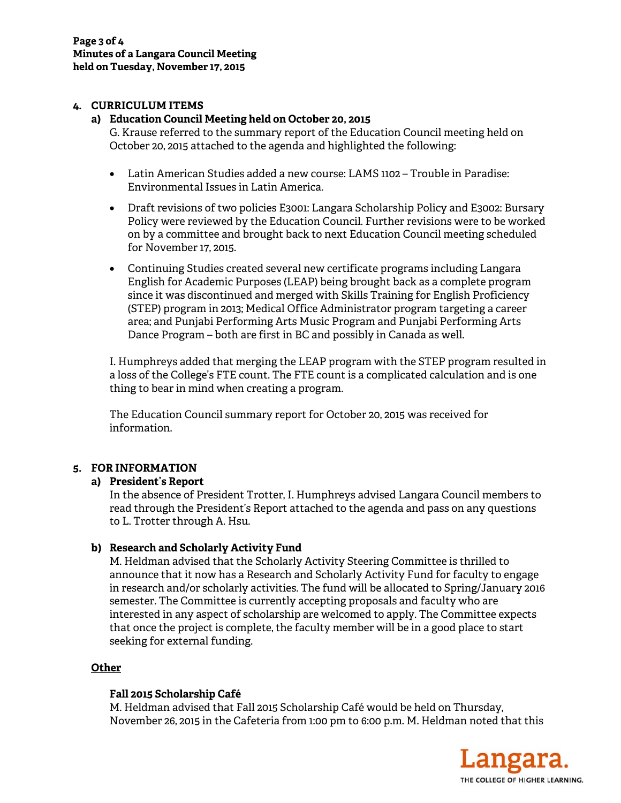#### **4. CURRICULUM ITEMS**

#### **a) Education Council Meeting held on October 20, 2015**

G. Krause referred to the summary report of the Education Council meeting held on October 20, 2015 attached to the agenda and highlighted the following:

- Latin American Studies added a new course: LAMS 1102 Trouble in Paradise: Environmental Issues in Latin America.
- Draft revisions of two policies E3001: Langara Scholarship Policy and E3002: Bursary Policy were reviewed by the Education Council. Further revisions were to be worked on by a committee and brought back to next Education Council meeting scheduled for November 17, 2015.
- Continuing Studies created several new certificate programs including Langara English for Academic Purposes (LEAP) being brought back as a complete program since it was discontinued and merged with Skills Training for English Proficiency (STEP) program in 2013; Medical Office Administrator program targeting a career area; and Punjabi Performing Arts Music Program and Punjabi Performing Arts Dance Program – both are first in BC and possibly in Canada as well.

I. Humphreys added that merging the LEAP program with the STEP program resulted in a loss of the College's FTE count. The FTE count is a complicated calculation and is one thing to bear in mind when creating a program.

The Education Council summary report for October 20, 2015 was received for information.

# **5. FOR INFORMATION**

# **a) President's Report**

In the absence of President Trotter, I. Humphreys advised Langara Council members to read through the President's Report attached to the agenda and pass on any questions to L. Trotter through A. Hsu.

# **b) Research and Scholarly Activity Fund**

M. Heldman advised that the Scholarly Activity Steering Committee is thrilled to announce that it now has a Research and Scholarly Activity Fund for faculty to engage in research and/or scholarly activities. The fund will be allocated to Spring/January 2016 semester. The Committee is currently accepting proposals and faculty who are interested in any aspect of scholarship are welcomed to apply. The Committee expects that once the project is complete, the faculty member will be in a good place to start seeking for external funding.

# **Other**

# **Fall 2015 Scholarship Café**

M. Heldman advised that Fall 2015 Scholarship Café would be held on Thursday, November 26, 2015 in the Cafeteria from 1:00 pm to 6:00 p.m. M. Heldman noted that this